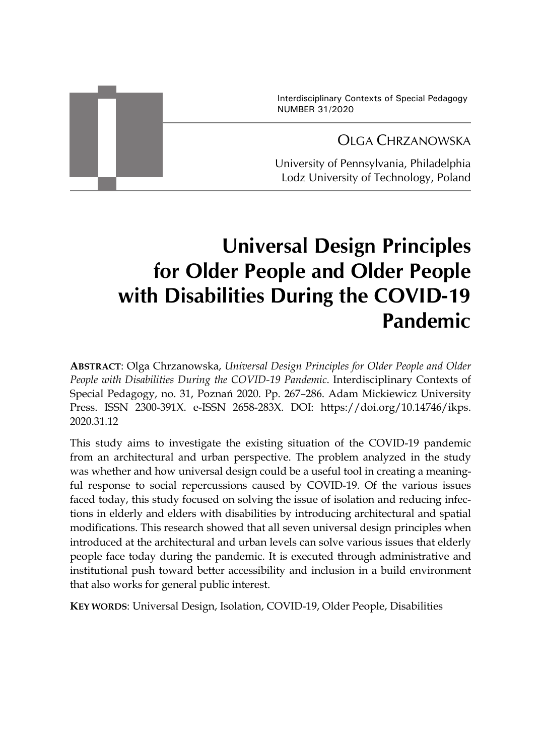Interdisciplinary Contexts of Special Pedagogy NUMBER 31/2020

# OLGA CHRZANOWSKA

University of Pennsylvania, Philadelphia Lodz University of Technology, Poland

# **Universal Design Principles for Older People and Older People with Disabilities During the COVID-19 Pandemic**

**ABSTRACT**: Olga Chrzanowska, *Universal Design Principles for Older People and Older People with Disabilities During the COVID-19 Pandemic*. Interdisciplinary Contexts of Special Pedagogy, no. 31, Poznań 2020. Pp. 267–286. Adam Mickiewicz University Press. ISSN 2300-391X. e-ISSN 2658-283X. DOI: https://doi.org/10.14746/ikps. 2020.31.12

This study aims to investigate the existing situation of the COVID-19 pandemic from an architectural and urban perspective. The problem analyzed in the study was whether and how universal design could be a useful tool in creating a meaningful response to social repercussions caused by COVID-19. Of the various issues faced today, this study focused on solving the issue of isolation and reducing infections in elderly and elders with disabilities by introducing architectural and spatial modifications. This research showed that all seven universal design principles when introduced at the architectural and urban levels can solve various issues that elderly people face today during the pandemic. It is executed through administrative and institutional push toward better accessibility and inclusion in a build environment that also works for general public interest.

**KEY WORDS**: Universal Design, Isolation, COVID-19, Older People, Disabilities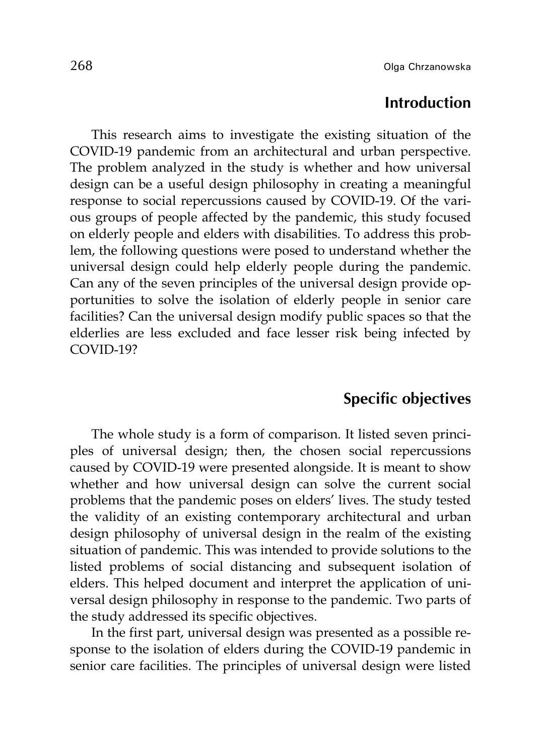#### **Introduction**

This research aims to investigate the existing situation of the COVID-19 pandemic from an architectural and urban perspective. The problem analyzed in the study is whether and how universal design can be a useful design philosophy in creating a meaningful response to social repercussions caused by COVID-19. Of the various groups of people affected by the pandemic, this study focused on elderly people and elders with disabilities. To address this problem, the following questions were posed to understand whether the universal design could help elderly people during the pandemic. Can any of the seven principles of the universal design provide opportunities to solve the isolation of elderly people in senior care facilities? Can the universal design modify public spaces so that the elderlies are less excluded and face lesser risk being infected by COVID-19?

#### **Specific objectives**

The whole study is a form of comparison. It listed seven principles of universal design; then, the chosen social repercussions caused by COVID-19 were presented alongside. It is meant to show whether and how universal design can solve the current social problems that the pandemic poses on elders' lives. The study tested the validity of an existing contemporary architectural and urban design philosophy of universal design in the realm of the existing situation of pandemic. This was intended to provide solutions to the listed problems of social distancing and subsequent isolation of elders. This helped document and interpret the application of universal design philosophy in response to the pandemic. Two parts of the study addressed its specific objectives.

In the first part, universal design was presented as a possible response to the isolation of elders during the COVID-19 pandemic in senior care facilities. The principles of universal design were listed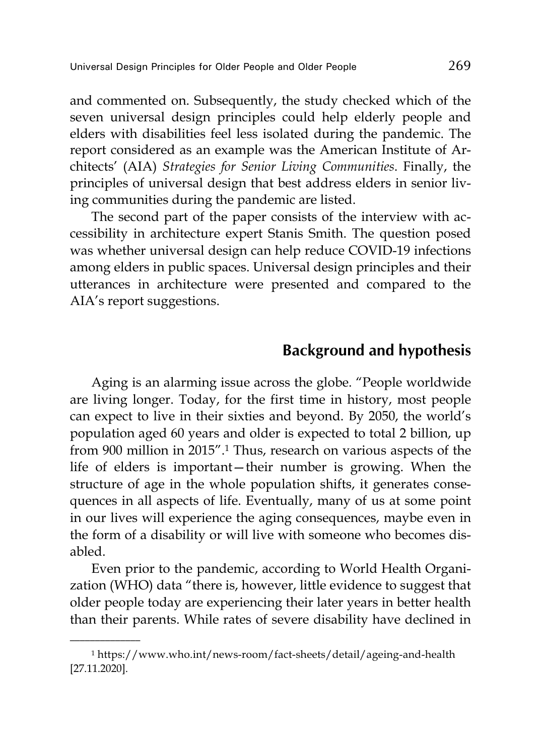and commented on. Subsequently, the study checked which of the seven universal design principles could help elderly people and elders with disabilities feel less isolated during the pandemic. The report considered as an example was the American Institute of Architects' (AIA) *Strategies for Senior Living Communities*. Finally, the principles of universal design that best address elders in senior living communities during the pandemic are listed.

The second part of the paper consists of the interview with accessibility in architecture expert Stanis Smith. The question posed was whether universal design can help reduce COVID-19 infections among elders in public spaces. Universal design principles and their utterances in architecture were presented and compared to the AIA's report suggestions.

# **Background and hypothesis**

Aging is an alarming issue across the globe. "People worldwide are living longer. Today, for the first time in history, most people can expect to live in their sixties and beyond. By 2050, the world's population aged 60 years and older is expected to total 2 billion, up from 900 million in 2015".1 Thus, research on various aspects of the life of elders is important—their number is growing. When the structure of age in the whole population shifts, it generates consequences in all aspects of life. Eventually, many of us at some point in our lives will experience the aging consequences, maybe even in the form of a disability or will live with someone who becomes disabled.

Even prior to the pandemic, according to World Health Organization (WHO) data "there is, however, little evidence to suggest that older people today are experiencing their later years in better health than their parents. While rates of severe disability have declined in

<sup>1</sup> https://www.who.int/news-room/fact-sheets/detail/ageing-and-health [27.11.2020].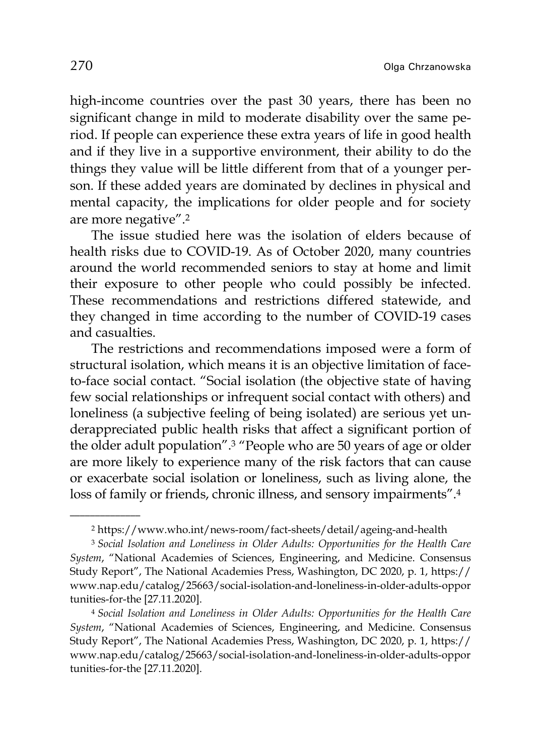high-income countries over the past 30 years, there has been no significant change in mild to moderate disability over the same period. If people can experience these extra years of life in good health and if they live in a supportive environment, their ability to do the things they value will be little different from that of a younger person. If these added years are dominated by declines in physical and mental capacity, the implications for older people and for society are more negative".2

The issue studied here was the isolation of elders because of health risks due to COVID-19. As of October 2020, many countries around the world recommended seniors to stay at home and limit their exposure to other people who could possibly be infected. These recommendations and restrictions differed statewide, and they changed in time according to the number of COVID-19 cases and casualties.

The restrictions and recommendations imposed were a form of structural isolation, which means it is an objective limitation of faceto-face social contact. "Social isolation (the objective state of having few social relationships or infrequent social contact with others) and loneliness (a subjective feeling of being isolated) are serious yet underappreciated public health risks that affect a significant portion of the older adult population".3 "People who are 50 years of age or older are more likely to experience many of the risk factors that can cause or exacerbate social isolation or loneliness, such as living alone, the loss of family or friends, chronic illness, and sensory impairments".4

<sup>2</sup> https://www.who.int/news-room/fact-sheets/detail/ageing-and-health

<sup>3</sup> *Social Isolation and Loneliness in Older Adults: Opportunities for the Health Care System*, "National Academies of Sciences, Engineering, and Medicine. Consensus Study Report", The National Academies Press, Washington, DC 2020, p. 1, https:// www.nap.edu/catalog/25663/social-isolation-and-loneliness-in-older-adults-oppor tunities-for-the [27.11.2020].

<sup>4</sup> *Social Isolation and Loneliness in Older Adults: Opportunities for the Health Care System*, "National Academies of Sciences, Engineering, and Medicine. Consensus Study Report", The National Academies Press, Washington, DC 2020, p. 1, https:// www.nap.edu/catalog/25663/social-isolation-and-loneliness-in-older-adults-oppor tunities-for-the [27.11.2020].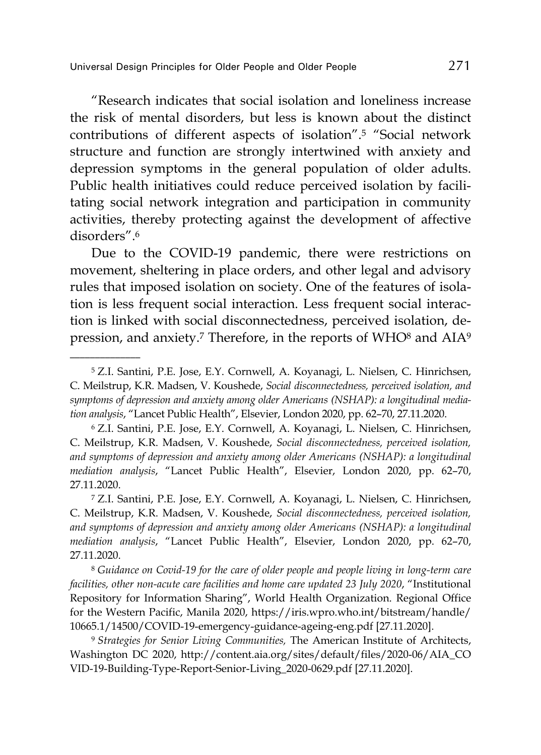$\overline{\phantom{a}}$  , where  $\overline{\phantom{a}}$ 

"Research indicates that social isolation and loneliness increase the risk of mental disorders, but less is known about the distinct contributions of different aspects of isolation".5 "Social network structure and function are strongly intertwined with anxiety and depression symptoms in the general population of older adults. Public health initiatives could reduce perceived isolation by facilitating social network integration and participation in community activities, thereby protecting against the development of affective disorders".6

Due to the COVID-19 pandemic, there were restrictions on movement, sheltering in place orders, and other legal and advisory rules that imposed isolation on society. One of the features of isolation is less frequent social interaction. Less frequent social interaction is linked with social disconnectedness, perceived isolation, depression, and anxiety.<sup>7</sup> Therefore, in the reports of WHO<sup>8</sup> and AIA<sup>9</sup>

<sup>5</sup> Z.I. Santini, P.E. Jose, E.Y. Cornwell, A. Koyanagi, L. Nielsen, C. Hinrichsen, C. Meilstrup, K.R. Madsen, V. Koushede, *Social disconnectedness, perceived isolation, and symptoms of depression and anxiety among older Americans (NSHAP): a longitudinal mediation analysis*, "Lancet Public Health", Elsevier, London 2020, pp. 62–70, 27.11.2020.

<sup>6</sup> Z.I. Santini, P.E. Jose, E.Y. Cornwell, A. Koyanagi, L. Nielsen, C. Hinrichsen, C. Meilstrup, K.R. Madsen, V. Koushede, *Social disconnectedness, perceived isolation, and symptoms of depression and anxiety among older Americans (NSHAP): a longitudinal mediation analysis*, "Lancet Public Health", Elsevier, London 2020, pp. 62–70, 27.11.2020.

<sup>7</sup> Z.I. Santini, P.E. Jose, E.Y. Cornwell, A. Koyanagi, L. Nielsen, C. Hinrichsen, C. Meilstrup, K.R. Madsen, V. Koushede, *Social disconnectedness, perceived isolation,*  and symptoms of depression and anxiety among older Americans (NSHAP): a longitudinal *mediation analysis*, "Lancet Public Health", Elsevier, London 2020, pp. 62–70, 27.11.2020.

<sup>8</sup> *Guidance on Covid-19 for the care of older people and people living in long-term care facilities, other non-acute care facilities and home care updated 23 July 2020*, "Institutional Repository for Information Sharing", World Health Organization. Regional Office for the Western Pacific, Manila 2020, https://iris.wpro.who.int/bitstream/handle/ 10665.1/14500/COVID-19-emergency-guidance-ageing-eng.pdf [27.11.2020].

<sup>9</sup> *Strategies for Senior Living Communities,* The American Institute of Architects, Washington DC 2020, http://content.aia.org/sites/default/files/2020-06/AIA\_CO VID-19-Building-Type-Report-Senior-Living\_2020-0629.pdf [27.11.2020].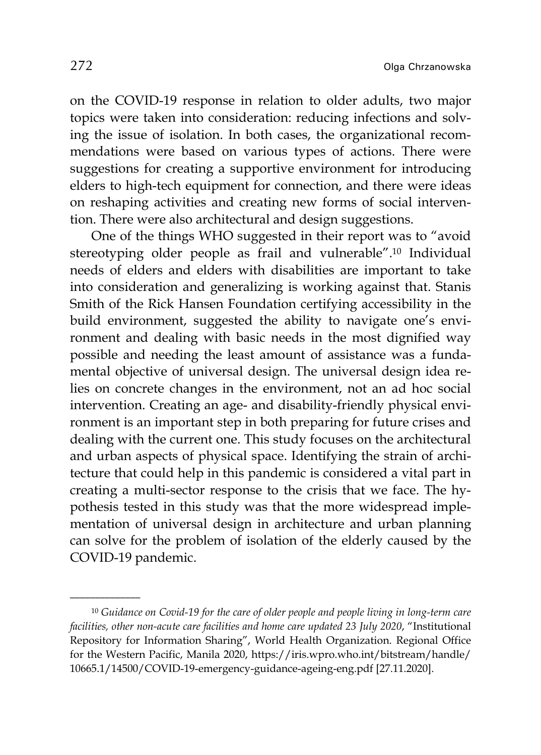on the COVID-19 response in relation to older adults, two major topics were taken into consideration: reducing infections and solving the issue of isolation. In both cases, the organizational recommendations were based on various types of actions. There were suggestions for creating a supportive environment for introducing elders to high-tech equipment for connection, and there were ideas on reshaping activities and creating new forms of social intervention. There were also architectural and design suggestions.

One of the things WHO suggested in their report was to "avoid stereotyping older people as frail and vulnerable".10 Individual needs of elders and elders with disabilities are important to take into consideration and generalizing is working against that. Stanis Smith of the Rick Hansen Foundation certifying accessibility in the build environment, suggested the ability to navigate one's environment and dealing with basic needs in the most dignified way possible and needing the least amount of assistance was a fundamental objective of universal design. The universal design idea relies on concrete changes in the environment, not an ad hoc social intervention. Creating an age- and disability-friendly physical environment is an important step in both preparing for future crises and dealing with the current one. This study focuses on the architectural and urban aspects of physical space. Identifying the strain of architecture that could help in this pandemic is considered a vital part in creating a multi-sector response to the crisis that we face. The hypothesis tested in this study was that the more widespread implementation of universal design in architecture and urban planning can solve for the problem of isolation of the elderly caused by the COVID-19 pandemic.

<sup>10</sup> *Guidance on Covid-19 for the care of older people and people living in long-term care facilities, other non-acute care facilities and home care updated 23 July 2020*, "Institutional Repository for Information Sharing", World Health Organization. Regional Office for the Western Pacific, Manila 2020, https://iris.wpro.who.int/bitstream/handle/ 10665.1/14500/COVID-19-emergency-guidance-ageing-eng.pdf [27.11.2020].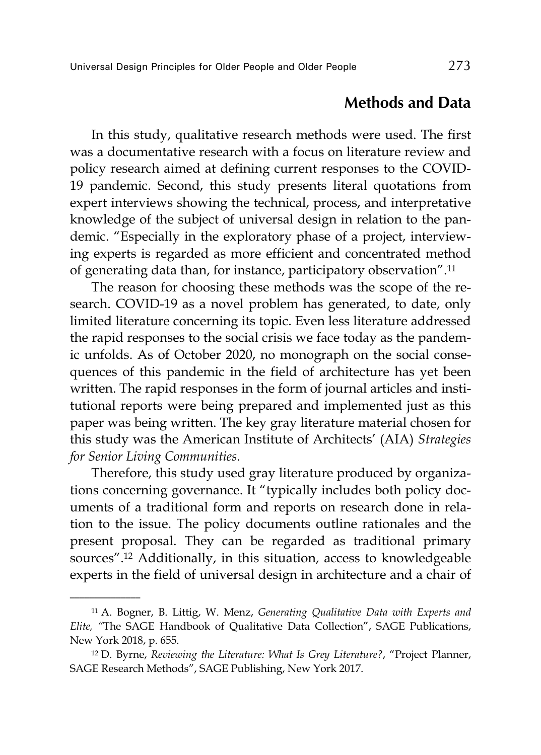# **Methods and Data**

In this study, qualitative research methods were used. The first was a documentative research with a focus on literature review and policy research aimed at defining current responses to the COVID-19 pandemic. Second, this study presents literal quotations from expert interviews showing the technical, process, and interpretative knowledge of the subject of universal design in relation to the pandemic. "Especially in the exploratory phase of a project, interviewing experts is regarded as more efficient and concentrated method of generating data than, for instance, participatory observation".11

The reason for choosing these methods was the scope of the research. COVID-19 as a novel problem has generated, to date, only limited literature concerning its topic. Even less literature addressed the rapid responses to the social crisis we face today as the pandemic unfolds. As of October 2020, no monograph on the social consequences of this pandemic in the field of architecture has yet been written. The rapid responses in the form of journal articles and institutional reports were being prepared and implemented just as this paper was being written. The key gray literature material chosen for this study was the American Institute of Architects' (AIA) *Strategies for Senior Living Communities*.

Therefore, this study used gray literature produced by organizations concerning governance. It "typically includes both policy documents of a traditional form and reports on research done in relation to the issue. The policy documents outline rationales and the present proposal. They can be regarded as traditional primary sources".12 Additionally, in this situation, access to knowledgeable experts in the field of universal design in architecture and a chair of

<sup>11</sup> A. Bogner, B. Littig, W. Menz, *Generating Qualitative Data with Experts and Elite, "*The SAGE Handbook of Qualitative Data Collection", SAGE Publications, New York 2018, p. 655.

<sup>12</sup> D. Byrne, *Reviewing the Literature: What Is Grey Literature?*, "Project Planner, SAGE Research Methods", SAGE Publishing, New York 2017.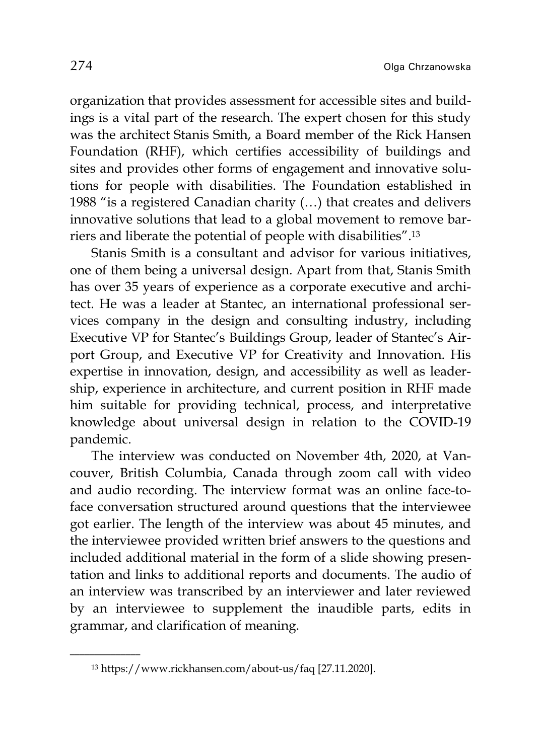organization that provides assessment for accessible sites and buildings is a vital part of the research. The expert chosen for this study was the architect Stanis Smith, a Board member of the Rick Hansen Foundation (RHF), which certifies accessibility of buildings and sites and provides other forms of engagement and innovative solutions for people with disabilities. The Foundation established in 1988 "is a registered Canadian charity (…) that creates and delivers innovative solutions that lead to a global movement to remove barriers and liberate the potential of people with disabilities".13

Stanis Smith is a consultant and advisor for various initiatives, one of them being a universal design. Apart from that, Stanis Smith has over 35 years of experience as a corporate executive and architect. He was a leader at Stantec, an international professional services company in the design and consulting industry, including Executive VP for Stantec's Buildings Group, leader of Stantec's Airport Group, and Executive VP for Creativity and Innovation. His expertise in innovation, design, and accessibility as well as leadership, experience in architecture, and current position in RHF made him suitable for providing technical, process, and interpretative knowledge about universal design in relation to the COVID-19 pandemic.

The interview was conducted on November 4th, 2020, at Vancouver, British Columbia, Canada through zoom call with video and audio recording. The interview format was an online face-toface conversation structured around questions that the interviewee got earlier. The length of the interview was about 45 minutes, and the interviewee provided written brief answers to the questions and included additional material in the form of a slide showing presentation and links to additional reports and documents. The audio of an interview was transcribed by an interviewer and later reviewed by an interviewee to supplement the inaudible parts, edits in grammar, and clarification of meaning.

<sup>13</sup> https://www.rickhansen.com/about-us/faq [27.11.2020].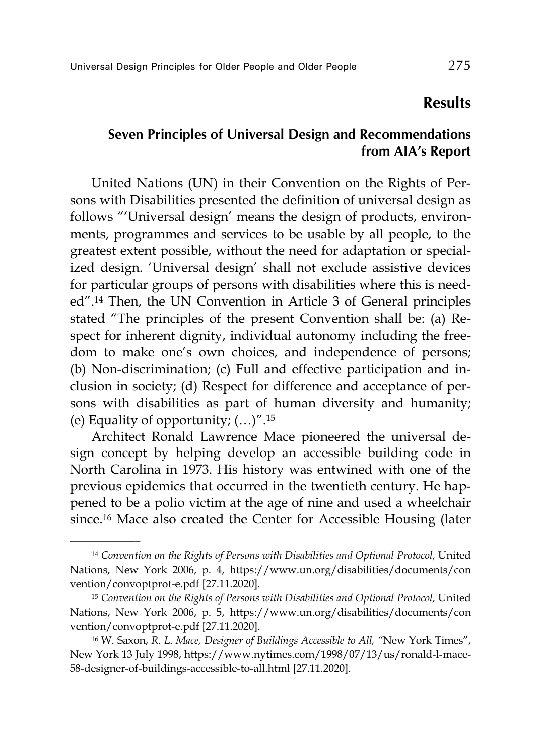#### **Results**

#### **Seven Principles of Universal Design and Recommendations from AIA's Report**

United Nations (UN) in their Convention on the Rights of Persons with Disabilities presented the definition of universal design as follows "'Universal design' means the design of products, environments, programmes and services to be usable by all people, to the greatest extent possible, without the need for adaptation or specialized design. 'Universal design' shall not exclude assistive devices for particular groups of persons with disabilities where this is needed".14 Then, the UN Convention in Article 3 of General principles stated "The principles of the present Convention shall be: (a) Respect for inherent dignity, individual autonomy including the freedom to make one's own choices, and independence of persons; (b) Non-discrimination; (c) Full and effective participation and inclusion in society; (d) Respect for difference and acceptance of persons with disabilities as part of human diversity and humanity; (e) Equality of opportunity;  $(...)^{n}$ .<sup>15</sup>

Architect Ronald Lawrence Mace pioneered the universal design concept by helping develop an accessible building code in North Carolina in 1973. His history was entwined with one of the previous epidemics that occurred in the twentieth century. He happened to be a polio victim at the age of nine and used a wheelchair since.16 Mace also created the Center for Accessible Housing (later

<sup>14</sup> *Convention on the Rights of Persons with Disabilities and Optional Protocol,* United Nations, New York 2006, p. 4, https://www.un.org/disabilities/documents/con vention/convoptprot-e.pdf [27.11.2020].

<sup>15</sup> *Convention on the Rights of Persons with Disabilities and Optional Protocol,* United Nations, New York 2006, p. 5, https://www.un.org/disabilities/documents/con vention/convoptprot-e.pdf [27.11.2020].

<sup>16</sup> W. Saxon, *R*. *L*. *Mace, Designer of Buildings Accessible to All, "*New York Times", New York 13 July 1998, https://www.nytimes.com/1998/07/13/us/ronald-l-mace-58-designer-of-buildings-accessible-to-all.html [27.11.2020].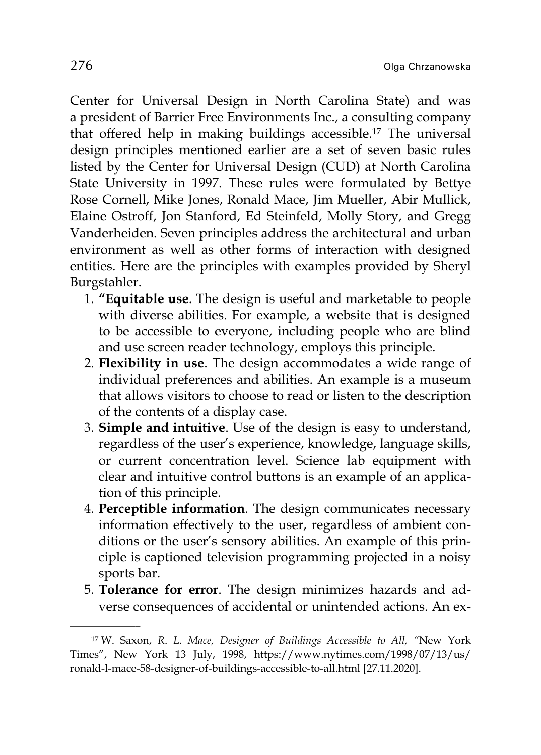Center for Universal Design in North Carolina State) and was a president of Barrier Free Environments Inc., a consulting company that offered help in making buildings accessible.17 The universal design principles mentioned earlier are a set of seven basic rules listed by the Center for Universal Design (CUD) at North Carolina State University in 1997. These rules were formulated by Bettye Rose Cornell, Mike Jones, Ronald Mace, Jim Mueller, Abir Mullick, Elaine Ostroff, Jon Stanford, Ed Steinfeld, Molly Story, and Gregg Vanderheiden. Seven principles address the architectural and urban environment as well as other forms of interaction with designed entities. Here are the principles with examples provided by Sheryl Burgstahler.

- 1. **"Equitable use**. The design is useful and marketable to people with diverse abilities. For example, a website that is designed to be accessible to everyone, including people who are blind and use screen reader technology, employs this principle.
- 2. **Flexibility in use**. The design accommodates a wide range of individual preferences and abilities. An example is a museum that allows visitors to choose to read or listen to the description of the contents of a display case.
- 3. **Simple and intuitive**. Use of the design is easy to understand, regardless of the user's experience, knowledge, language skills, or current concentration level. Science lab equipment with clear and intuitive control buttons is an example of an application of this principle.
- 4. **Perceptible information**. The design communicates necessary information effectively to the user, regardless of ambient conditions or the user's sensory abilities. An example of this principle is captioned television programming projected in a noisy sports bar.
- 5. **Tolerance for error**. The design minimizes hazards and adverse consequences of accidental or unintended actions. An ex-

<sup>17</sup> W. Saxon, *R*. *L*. *Mace, Designer of Buildings Accessible to All, "*New York Times", New York 13 July, 1998, https://www.nytimes.com/1998/07/13/us/ ronald-l-mace-58-designer-of-buildings-accessible-to-all.html [27.11.2020].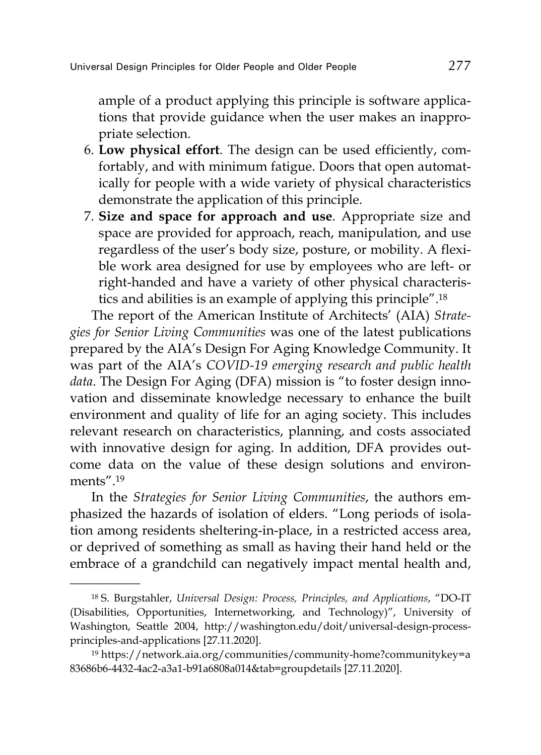ample of a product applying this principle is software applications that provide guidance when the user makes an inappropriate selection.

- 6. **Low physical effort**. The design can be used efficiently, comfortably, and with minimum fatigue. Doors that open automatically for people with a wide variety of physical characteristics demonstrate the application of this principle.
- 7. **Size and space for approach and use**. Appropriate size and space are provided for approach, reach, manipulation, and use regardless of the user's body size, posture, or mobility. A flexible work area designed for use by employees who are left- or right-handed and have a variety of other physical characteristics and abilities is an example of applying this principle".18

The report of the American Institute of Architects' (AIA) *Strategies for Senior Living Communities* was one of the latest publications prepared by the AIA's Design For Aging Knowledge Community. It was part of the AIA's *COVID-19 emerging research and public health data*. The Design For Aging (DFA) mission is "to foster design innovation and disseminate knowledge necessary to enhance the built environment and quality of life for an aging society. This includes relevant research on characteristics, planning, and costs associated with innovative design for aging. In addition, DFA provides outcome data on the value of these design solutions and environments" 19

In the *Strategies for Senior Living Communities*, the authors emphasized the hazards of isolation of elders. "Long periods of isolation among residents sheltering-in-place, in a restricted access area, or deprived of something as small as having their hand held or the embrace of a grandchild can negatively impact mental health and,

<sup>18</sup> S. Burgstahler, *Universal Design: Process, Principles, and Applications*, "DO-IT (Disabilities, Opportunities, Internetworking, and Technology)", University of Washington, Seattle 2004, http://washington.edu/doit/universal-design-processprinciples-and-applications [27.11.2020].

<sup>19</sup> https://network.aia.org/communities/community-home?communitykey=a 83686b6-4432-4ac2-a3a1-b91a6808a014&tab=groupdetails [27.11.2020].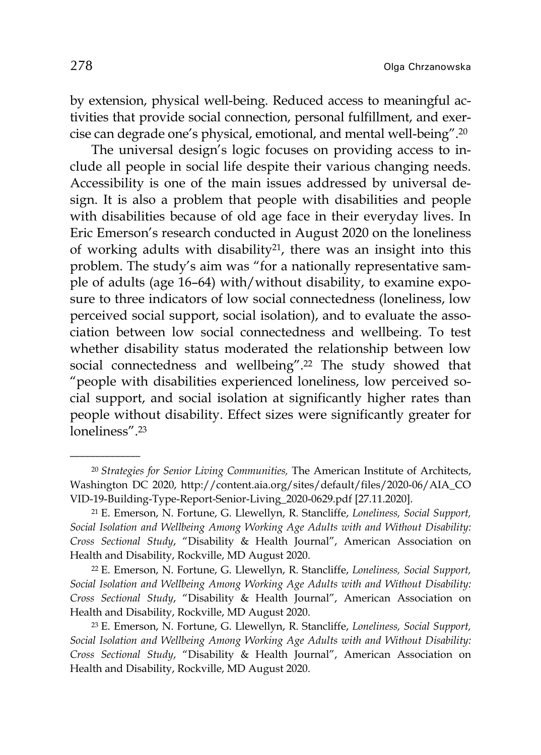by extension, physical well-being. Reduced access to meaningful activities that provide social connection, personal fulfillment, and exercise can degrade one's physical, emotional, and mental well-being".20

The universal design's logic focuses on providing access to include all people in social life despite their various changing needs. Accessibility is one of the main issues addressed by universal design. It is also a problem that people with disabilities and people with disabilities because of old age face in their everyday lives. In Eric Emerson's research conducted in August 2020 on the loneliness of working adults with disability21, there was an insight into this problem. The study's aim was "for a nationally representative sample of adults (age 16–64) with/without disability, to examine exposure to three indicators of low social connectedness (loneliness, low perceived social support, social isolation), and to evaluate the association between low social connectedness and wellbeing. To test whether disability status moderated the relationship between low social connectedness and wellbeing".22 The study showed that "people with disabilities experienced loneliness, low perceived social support, and social isolation at significantly higher rates than people without disability. Effect sizes were significantly greater for loneliness" 23

22 E. Emerson, N. Fortune, G. Llewellyn, R. Stancliffe, *Loneliness, Social Support, Social Isolation and Wellbeing Among Working Age Adults with and Without Disability: Cross Sectional Study*, "Disability & Health Journal", American Association on Health and Disability, Rockville, MD August 2020.

23 E. Emerson, N. Fortune, G. Llewellyn, R. Stancliffe, *Loneliness, Social Support, Social Isolation and Wellbeing Among Working Age Adults with and Without Disability: Cross Sectional Study*, "Disability & Health Journal", American Association on Health and Disability, Rockville, MD August 2020.

<sup>20</sup> *Strategies for Senior Living Communities,* The American Institute of Architects, Washington DC 2020, http://content.aia.org/sites/default/files/2020-06/AIA\_CO VID-19-Building-Type-Report-Senior-Living\_2020-0629.pdf [27.11.2020].

<sup>21</sup> E. Emerson, N. Fortune, G. Llewellyn, R. Stancliffe, *Loneliness, Social Support, Social Isolation and Wellbeing Among Working Age Adults with and Without Disability: Cross Sectional Study*, "Disability & Health Journal", American Association on Health and Disability, Rockville, MD August 2020.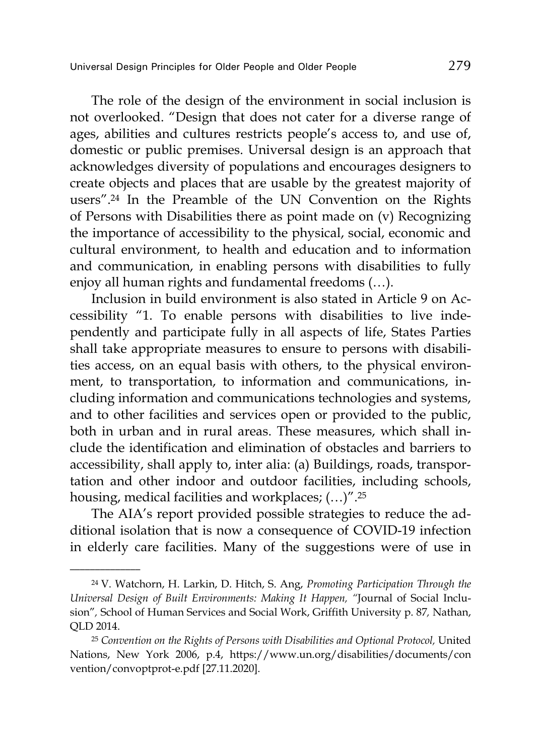The role of the design of the environment in social inclusion is not overlooked. "Design that does not cater for a diverse range of ages, abilities and cultures restricts people's access to, and use of, domestic or public premises. Universal design is an approach that acknowledges diversity of populations and encourages designers to create objects and places that are usable by the greatest majority of users".24 In the Preamble of the UN Convention on the Rights of Persons with Disabilities there as point made on (v) Recognizing the importance of accessibility to the physical, social, economic and cultural environment, to health and education and to information and communication, in enabling persons with disabilities to fully enjoy all human rights and fundamental freedoms (…).

Inclusion in build environment is also stated in Article 9 on Accessibility "1. To enable persons with disabilities to live independently and participate fully in all aspects of life, States Parties shall take appropriate measures to ensure to persons with disabilities access, on an equal basis with others, to the physical environment, to transportation, to information and communications, including information and communications technologies and systems, and to other facilities and services open or provided to the public, both in urban and in rural areas. These measures, which shall include the identification and elimination of obstacles and barriers to accessibility, shall apply to, inter alia: (a) Buildings, roads, transportation and other indoor and outdoor facilities, including schools, housing, medical facilities and workplaces; (…)".25

The AIA's report provided possible strategies to reduce the additional isolation that is now a consequence of COVID-19 infection in elderly care facilities. Many of the suggestions were of use in

<sup>24</sup> V. Watchorn, H. Larkin, D. Hitch, S. Ang, *Promoting Participation Through the Universal Design of Built Environments: Making It Happen, "*Journal of Social Inclusion"*,* School of Human Services and Social Work, Griffith University p. 87*,* Nathan, QLD 2014.

<sup>25</sup> *Convention on the Rights of Persons with Disabilities and Optional Protocol,* United Nations, New York 2006, p.4, https://www.un.org/disabilities/documents/con vention/convoptprot-e.pdf [27.11.2020].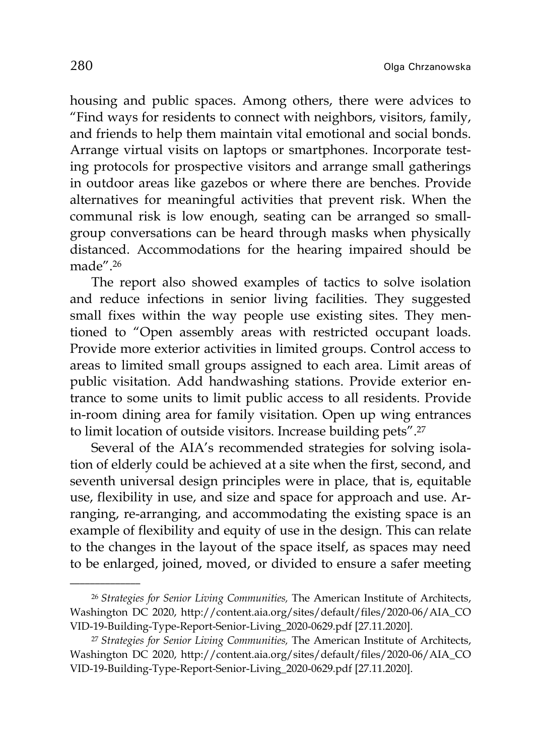housing and public spaces. Among others, there were advices to "Find ways for residents to connect with neighbors, visitors, family, and friends to help them maintain vital emotional and social bonds. Arrange virtual visits on laptops or smartphones. Incorporate testing protocols for prospective visitors and arrange small gatherings in outdoor areas like gazebos or where there are benches. Provide alternatives for meaningful activities that prevent risk. When the communal risk is low enough, seating can be arranged so smallgroup conversations can be heard through masks when physically distanced. Accommodations for the hearing impaired should be made".26

The report also showed examples of tactics to solve isolation and reduce infections in senior living facilities. They suggested small fixes within the way people use existing sites. They mentioned to "Open assembly areas with restricted occupant loads. Provide more exterior activities in limited groups. Control access to areas to limited small groups assigned to each area. Limit areas of public visitation. Add handwashing stations. Provide exterior entrance to some units to limit public access to all residents. Provide in-room dining area for family visitation. Open up wing entrances to limit location of outside visitors. Increase building pets".27

Several of the AIA's recommended strategies for solving isolation of elderly could be achieved at a site when the first, second, and seventh universal design principles were in place, that is, equitable use, flexibility in use, and size and space for approach and use. Arranging, re-arranging, and accommodating the existing space is an example of flexibility and equity of use in the design. This can relate to the changes in the layout of the space itself, as spaces may need to be enlarged, joined, moved, or divided to ensure a safer meeting

<sup>26</sup> *Strategies for Senior Living Communities,* The American Institute of Architects, Washington DC 2020, http://content.aia.org/sites/default/files/2020-06/AIA\_CO VID-19-Building-Type-Report-Senior-Living\_2020-0629.pdf [27.11.2020].

<sup>27</sup> *Strategies for Senior Living Communities,* The American Institute of Architects, Washington DC 2020, http://content.aia.org/sites/default/files/2020-06/AIA\_CO VID-19-Building-Type-Report-Senior-Living\_2020-0629.pdf [27.11.2020].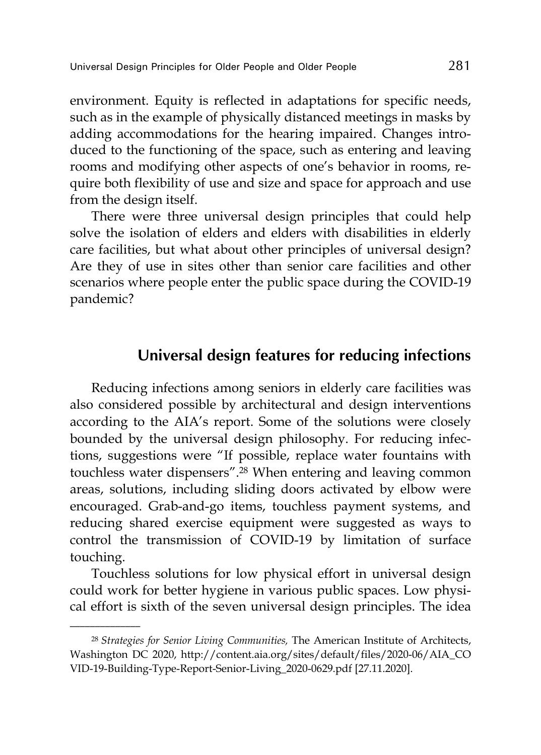environment. Equity is reflected in adaptations for specific needs, such as in the example of physically distanced meetings in masks by adding accommodations for the hearing impaired. Changes introduced to the functioning of the space, such as entering and leaving rooms and modifying other aspects of one's behavior in rooms, require both flexibility of use and size and space for approach and use from the design itself.

There were three universal design principles that could help solve the isolation of elders and elders with disabilities in elderly care facilities, but what about other principles of universal design? Are they of use in sites other than senior care facilities and other scenarios where people enter the public space during the COVID-19 pandemic?

### **Universal design features for reducing infections**

Reducing infections among seniors in elderly care facilities was also considered possible by architectural and design interventions according to the AIA's report. Some of the solutions were closely bounded by the universal design philosophy. For reducing infections, suggestions were "If possible, replace water fountains with touchless water dispensers".28 When entering and leaving common areas, solutions, including sliding doors activated by elbow were encouraged. Grab-and-go items, touchless payment systems, and reducing shared exercise equipment were suggested as ways to control the transmission of COVID-19 by limitation of surface touching.

Touchless solutions for low physical effort in universal design could work for better hygiene in various public spaces. Low physical effort is sixth of the seven universal design principles. The idea

<sup>28</sup> *Strategies for Senior Living Communities,* The American Institute of Architects, Washington DC 2020, http://content.aia.org/sites/default/files/2020-06/AIA\_CO VID-19-Building-Type-Report-Senior-Living\_2020-0629.pdf [27.11.2020].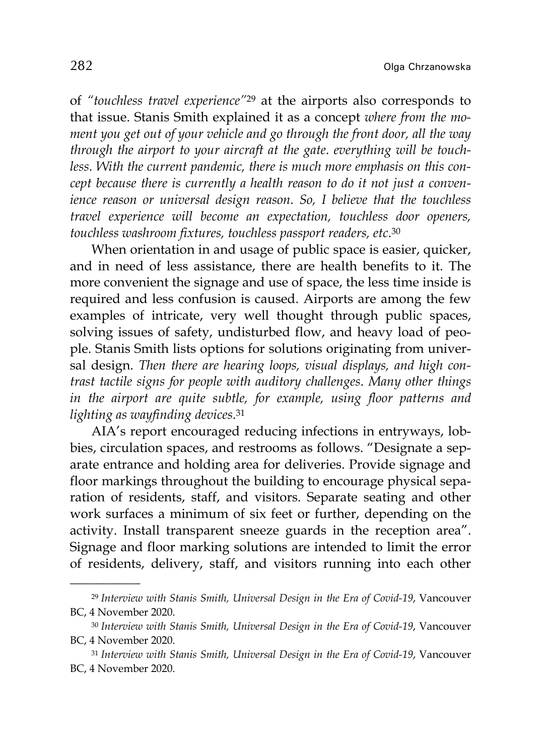282 **Olga Chrzanowska** 

of *"touchless travel experience"*<sup>29</sup> at the airports also corresponds to that issue. Stanis Smith explained it as a concept *where from the moment you get out of your vehicle and go through the front door, all the way through the airport to your aircraft at the gate*. *everything will be touchless*. *With the current pandemic, there is much more emphasis on this concept because there is currently a health reason to do it not just a convenience reason or universal design reason*. *So, I believe that the touchless travel experience will become an expectation, touchless door openers, touchless washroom fixtures, touchless passport readers, etc*.30

When orientation in and usage of public space is easier, quicker, and in need of less assistance, there are health benefits to it. The more convenient the signage and use of space, the less time inside is required and less confusion is caused. Airports are among the few examples of intricate, very well thought through public spaces, solving issues of safety, undisturbed flow, and heavy load of people. Stanis Smith lists options for solutions originating from universal design. *Then there are hearing loops, visual displays, and high contrast tactile signs for people with auditory challenges*. *Many other things in the airport are quite subtle, for example, using floor patterns and lighting as wayfinding devices*.31

AIA's report encouraged reducing infections in entryways, lobbies, circulation spaces, and restrooms as follows. "Designate a separate entrance and holding area for deliveries. Provide signage and floor markings throughout the building to encourage physical separation of residents, staff, and visitors. Separate seating and other work surfaces a minimum of six feet or further, depending on the activity. Install transparent sneeze guards in the reception area". Signage and floor marking solutions are intended to limit the error of residents, delivery, staff, and visitors running into each other

<sup>29</sup> *Interview with Stanis Smith, Universal Design in the Era of Covid-19*, Vancouver BC, 4 November 2020.

<sup>30</sup> *Interview with Stanis Smith, Universal Design in the Era of Covid-19*, Vancouver BC, 4 November 2020.

<sup>31</sup> *Interview with Stanis Smith, Universal Design in the Era of Covid-19*, Vancouver BC, 4 November 2020.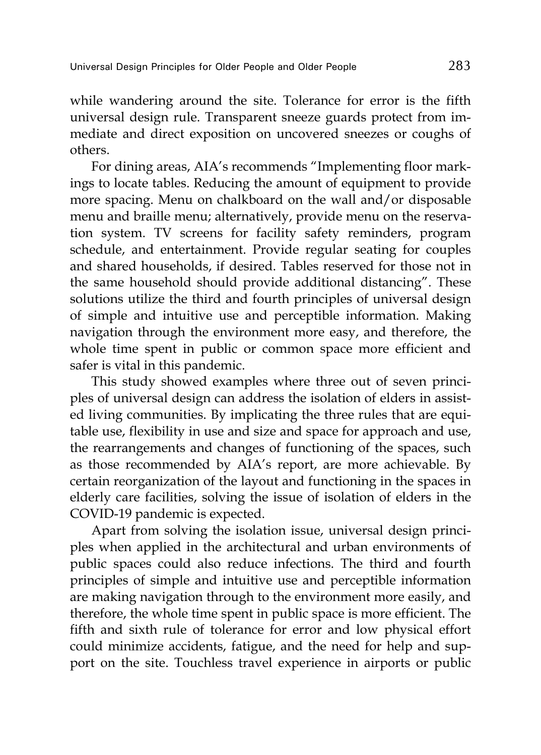while wandering around the site. Tolerance for error is the fifth universal design rule. Transparent sneeze guards protect from immediate and direct exposition on uncovered sneezes or coughs of others.

For dining areas, AIA's recommends "Implementing floor markings to locate tables. Reducing the amount of equipment to provide more spacing. Menu on chalkboard on the wall and/or disposable menu and braille menu; alternatively, provide menu on the reservation system. TV screens for facility safety reminders, program schedule, and entertainment. Provide regular seating for couples and shared households, if desired. Tables reserved for those not in the same household should provide additional distancing". These solutions utilize the third and fourth principles of universal design of simple and intuitive use and perceptible information. Making navigation through the environment more easy, and therefore, the whole time spent in public or common space more efficient and safer is vital in this pandemic.

This study showed examples where three out of seven principles of universal design can address the isolation of elders in assisted living communities. By implicating the three rules that are equitable use, flexibility in use and size and space for approach and use, the rearrangements and changes of functioning of the spaces, such as those recommended by AIA's report, are more achievable. By certain reorganization of the layout and functioning in the spaces in elderly care facilities, solving the issue of isolation of elders in the COVID-19 pandemic is expected.

Apart from solving the isolation issue, universal design principles when applied in the architectural and urban environments of public spaces could also reduce infections. The third and fourth principles of simple and intuitive use and perceptible information are making navigation through to the environment more easily, and therefore, the whole time spent in public space is more efficient. The fifth and sixth rule of tolerance for error and low physical effort could minimize accidents, fatigue, and the need for help and support on the site. Touchless travel experience in airports or public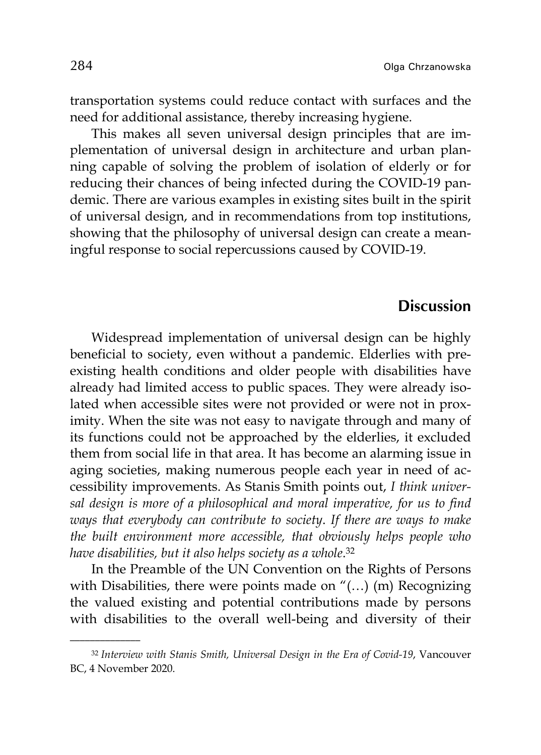transportation systems could reduce contact with surfaces and the need for additional assistance, thereby increasing hygiene.

This makes all seven universal design principles that are implementation of universal design in architecture and urban planning capable of solving the problem of isolation of elderly or for reducing their chances of being infected during the COVID-19 pandemic. There are various examples in existing sites built in the spirit of universal design, and in recommendations from top institutions, showing that the philosophy of universal design can create a meaningful response to social repercussions caused by COVID-19.

#### **Discussion**

Widespread implementation of universal design can be highly beneficial to society, even without a pandemic. Elderlies with preexisting health conditions and older people with disabilities have already had limited access to public spaces. They were already isolated when accessible sites were not provided or were not in proximity. When the site was not easy to navigate through and many of its functions could not be approached by the elderlies, it excluded them from social life in that area. It has become an alarming issue in aging societies, making numerous people each year in need of accessibility improvements. As Stanis Smith points out, *I think universal design is more of a philosophical and moral imperative, for us to find ways that everybody can contribute to society*. *If there are ways to make the built environment more accessible, that obviously helps people who have disabilities, but it also helps society as a whole*.32

In the Preamble of the UN Convention on the Rights of Persons with Disabilities, there were points made on "(...) (m) Recognizing the valued existing and potential contributions made by persons with disabilities to the overall well-being and diversity of their

<sup>32</sup> *Interview with Stanis Smith, Universal Design in the Era of Covid-19*, Vancouver BC, 4 November 2020.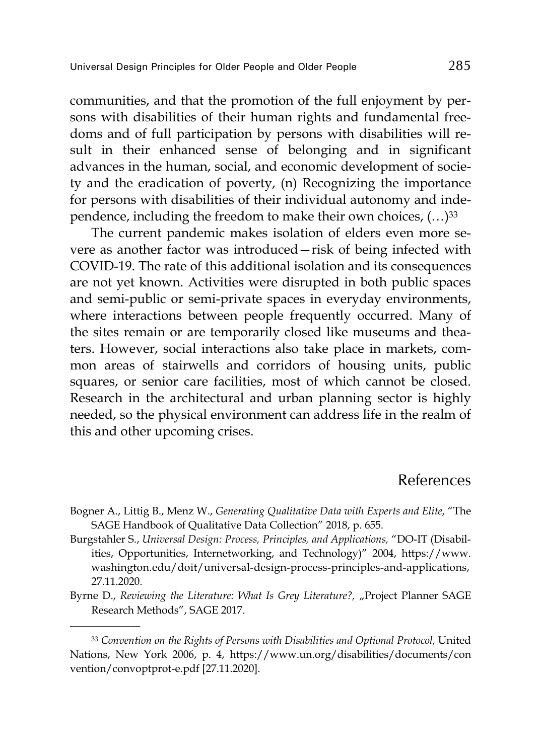communities, and that the promotion of the full enjoyment by persons with disabilities of their human rights and fundamental freedoms and of full participation by persons with disabilities will result in their enhanced sense of belonging and in significant advances in the human, social, and economic development of society and the eradication of poverty, (n) Recognizing the importance for persons with disabilities of their individual autonomy and independence, including the freedom to make their own choices,  $(...)$ <sup>33</sup>

The current pandemic makes isolation of elders even more severe as another factor was introduced—risk of being infected with COVID-19. The rate of this additional isolation and its consequences are not yet known. Activities were disrupted in both public spaces and semi-public or semi-private spaces in everyday environments, where interactions between people frequently occurred. Many of the sites remain or are temporarily closed like museums and theaters. However, social interactions also take place in markets, common areas of stairwells and corridors of housing units, public squares, or senior care facilities, most of which cannot be closed. Research in the architectural and urban planning sector is highly needed, so the physical environment can address life in the realm of this and other upcoming crises.

# References

- Bogner A., Littig B., Menz W., *Generating Qualitative Data with Experts and Elite*, "The SAGE Handbook of Qualitative Data Collection" 2018, p. 655.
- Burgstahler S., *Universal Design: Process, Principles, and Applications,* "DO-IT (Disabilities, Opportunities, Internetworking, and Technology)" 2004, https://www. washington.edu/doit/universal-design-process-principles-and-applications, 27.11.2020.
- Byrne D., *Reviewing the Literature: What Is Grey Literature?,* "Project Planner SAGE Research Methods", SAGE 2017.

<sup>33</sup> *Convention on the Rights of Persons with Disabilities and Optional Protocol,* United Nations, New York 2006, p. 4, https://www.un.org/disabilities/documents/con vention/convoptprot-e.pdf [27.11.2020].